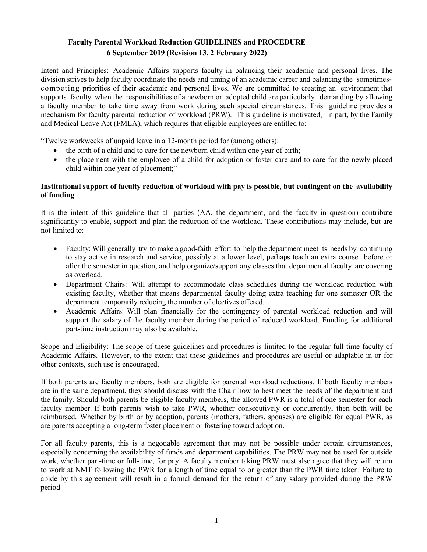## **Faculty Parental Workload Reduction GUIDELINES and PROCEDURE 6 September 2019 (Revision 13, 2 February 2022)**

Intent and Principles: Academic Affairs supports faculty in balancing their academic and personal lives. The division strives to help faculty coordinate the needs and timing of an academic career and balancing the sometimescompeting priorities of their academic and personal lives. We are committed to creating an environment that supports faculty when the responsibilities of a newborn or adopted child are particularly demanding by allowing a faculty member to take time away from work during such special circumstances. This guideline provides a mechanism for faculty parental reduction of workload (PRW). This guideline is motivated, in part, by the Family and Medical Leave Act (FMLA), which requires that eligible employees are entitled to:

"Twelve workweeks of unpaid leave in a 12-month period for (among others):

- the birth of a child and to care for the newborn child within one year of birth;
- the placement with the employee of a child for adoption or foster care and to care for the newly placed child within one year of placement;"

## **Institutional support of faculty reduction of workload with pay is possible, but contingent on the availability of funding**.

It is the intent of this guideline that all parties (AA, the department, and the faculty in question) contribute significantly to enable, support and plan the reduction of the workload. These contributions may include, but are not limited to:

- Faculty: Will generally try to make a good-faith effort to help the department meet its needs by continuing to stay active in research and service, possibly at a lower level, perhaps teach an extra course before or after the semester in question, and help organize/support any classes that departmental faculty are covering as overload.
- Department Chairs: Will attempt to accommodate class schedules during the workload reduction with existing faculty, whether that means departmental faculty doing extra teaching for one semester OR the department temporarily reducing the number of electives offered.
- Academic Affairs: Will plan financially for the contingency of parental workload reduction and will support the salary of the faculty member during the period of reduced workload. Funding for additional part-time instruction may also be available.

Scope and Eligibility: The scope of these guidelines and procedures is limited to the regular full time faculty of Academic Affairs. However, to the extent that these guidelines and procedures are useful or adaptable in or for other contexts, such use is encouraged.

If both parents are faculty members, both are eligible for parental workload reductions. If both faculty members are in the same department, they should discuss with the Chair how to best meet the needs of the department and the family. Should both parents be eligible faculty members, the allowed PWR is a total of one semester for each faculty member. If both parents wish to take PWR, whether consecutively or concurrently, then both will be reimbursed. Whether by birth or by adoption, parents (mothers, fathers, spouses) are eligible for equal PWR, as are parents accepting a long-term foster placement or fostering toward adoption.

For all faculty parents, this is a negotiable agreement that may not be possible under certain circumstances, especially concerning the availability of funds and department capabilities. The PRW may not be used for outside work, whether part-time or full-time, for pay. A faculty member taking PRW must also agree that they will return to work at NMT following the PWR for a length of time equal to or greater than the PWR time taken. Failure to abide by this agreement will result in a formal demand for the return of any salary provided during the PRW period